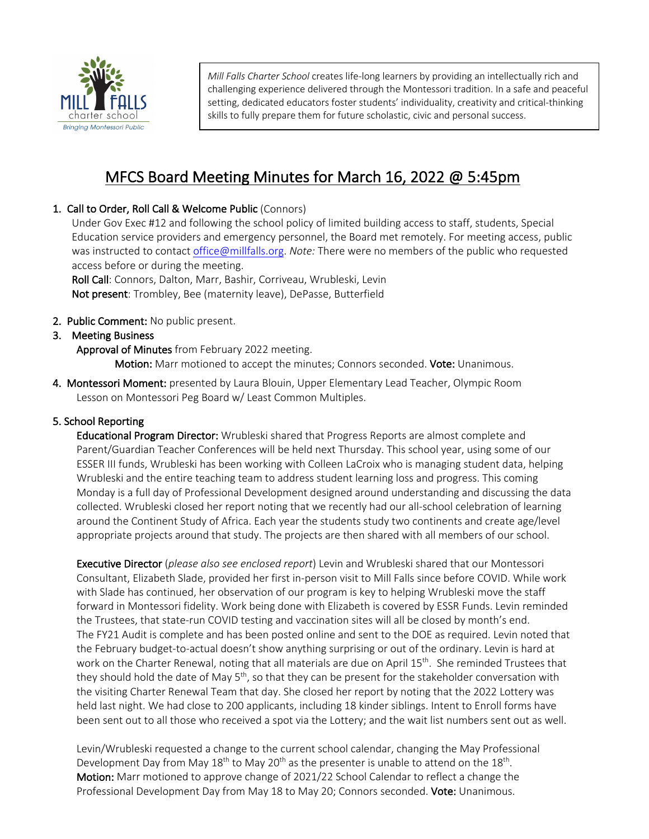

*Mill Falls Charter School* creates life-long learners by providing an intellectually rich and challenging experience delivered through the Montessori tradition. In a safe and peaceful setting, dedicated educators foster students' individuality, creativity and critical-thinking skills to fully prepare them for future scholastic, civic and personal success.

# MFCS Board Meeting Minutes for March 16, 2022 @ 5:45pm

# 1. Call to Order, Roll Call & Welcome Public (Connors)

Under Gov Exec #12 and following the school policy of limited building access to staff, students, Special Education service providers and emergency personnel, the Board met remotely. For meeting access, public was instructed to contact office@millfalls.org. *Note:* There were no members of the public who requested access before or during the meeting.

Roll Call: Connors, Dalton, Marr, Bashir, Corriveau, Wrubleski, Levin Not present: Trombley, Bee (maternity leave), DePasse, Butterfield

# 2. Public Comment: No public present.

# 3. Meeting Business

Approval of Minutes from February 2022 meeting.

Motion: Marr motioned to accept the minutes; Connors seconded. Vote: Unanimous.

4. Montessori Moment: presented by Laura Blouin, Upper Elementary Lead Teacher, Olympic Room Lesson on Montessori Peg Board w/ Least Common Multiples.

# 5. School Reporting

 Educational Program Director: Wrubleski shared that Progress Reports are almost complete and Parent/Guardian Teacher Conferences will be held next Thursday. This school year, using some of our ESSER III funds, Wrubleski has been working with Colleen LaCroix who is managing student data, helping Wrubleski and the entire teaching team to address student learning loss and progress. This coming Monday is a full day of Professional Development designed around understanding and discussing the data collected. Wrubleski closed her report noting that we recently had our all-school celebration of learning around the Continent Study of Africa. Each year the students study two continents and create age/level appropriate projects around that study. The projects are then shared with all members of our school.

Executive Director (*please also see enclosed report*) Levin and Wrubleski shared that our Montessori Consultant, Elizabeth Slade, provided her first in-person visit to Mill Falls since before COVID. While work with Slade has continued, her observation of our program is key to helping Wrubleski move the staff forward in Montessori fidelity. Work being done with Elizabeth is covered by ESSR Funds. Levin reminded the Trustees, that state-run COVID testing and vaccination sites will all be closed by month's end. The FY21 Audit is complete and has been posted online and sent to the DOE as required. Levin noted that the February budget-to-actual doesn't show anything surprising or out of the ordinary. Levin is hard at work on the Charter Renewal, noting that all materials are due on April 15<sup>th</sup>. She reminded Trustees that they should hold the date of May 5<sup>th</sup>, so that they can be present for the stakeholder conversation with the visiting Charter Renewal Team that day. She closed her report by noting that the 2022 Lottery was held last night. We had close to 200 applicants, including 18 kinder siblings. Intent to Enroll forms have been sent out to all those who received a spot via the Lottery; and the wait list numbers sent out as well.

Levin/Wrubleski requested a change to the current school calendar, changing the May Professional Development Day from May  $18<sup>th</sup>$  to May  $20<sup>th</sup>$  as the presenter is unable to attend on the  $18<sup>th</sup>$ . Motion: Marr motioned to approve change of 2021/22 School Calendar to reflect a change the Professional Development Day from May 18 to May 20; Connors seconded. Vote: Unanimous.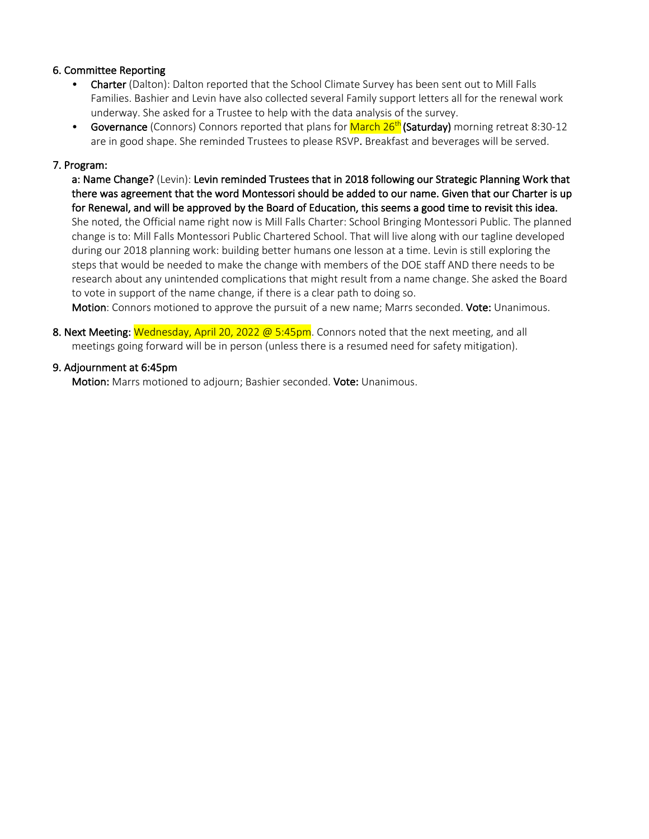# 6. Committee Reporting

- Charter (Dalton): Dalton reported that the School Climate Survey has been sent out to Mill Falls Families. Bashier and Levin have also collected several Family support letters all for the renewal work underway. She asked for a Trustee to help with the data analysis of the survey.
- Governance (Connors) Connors reported that plans for **March 26<sup>th</sup> (Saturday)** morning retreat 8:30-12 are in good shape. She reminded Trustees to please RSVP. Breakfast and beverages will be served.

#### 7. Program:

 a: Name Change? (Levin): Levin reminded Trustees that in 2018 following our Strategic Planning Work that there was agreement that the word Montessori should be added to our name. Given that our Charter is up for Renewal, and will be approved by the Board of Education, this seems a good time to revisit this idea. She noted, the Official name right now is Mill Falls Charter: School Bringing Montessori Public. The planned change is to: Mill Falls Montessori Public Chartered School. That will live along with our tagline developed during our 2018 planning work: building better humans one lesson at a time. Levin is still exploring the steps that would be needed to make the change with members of the DOE staff AND there needs to be research about any unintended complications that might result from a name change. She asked the Board to vote in support of the name change, if there is a clear path to doing so.

Motion: Connors motioned to approve the pursuit of a new name; Marrs seconded. Vote: Unanimous.

8. Next Meeting: Wednesday, April 20, 2022 @ 5:45pm. Connors noted that the next meeting, and all meetings going forward will be in person (unless there is a resumed need for safety mitigation).

#### 9. Adjournment at 6:45pm

Motion: Marrs motioned to adjourn; Bashier seconded. Vote: Unanimous.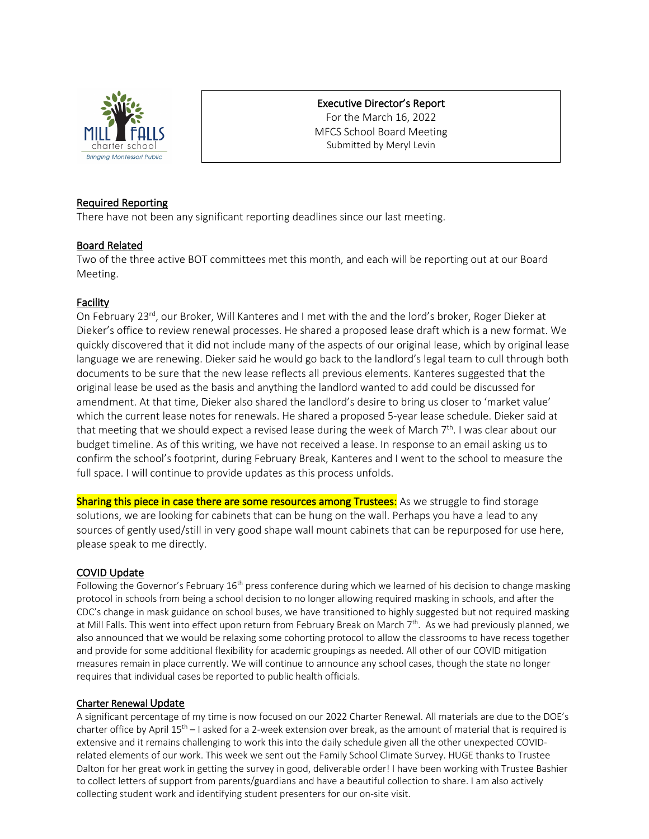

# Executive Director's Report

For the March 16, 2022 MFCS School Board Meeting Submitted by Meryl Levin

### Required Reporting

There have not been any significant reporting deadlines since our last meeting.

# Board Related

Two of the three active BOT committees met this month, and each will be reporting out at our Board Meeting.

# Facility

On February 23<sup>rd</sup>, our Broker, Will Kanteres and I met with the and the lord's broker, Roger Dieker at Dieker's office to review renewal processes. He shared a proposed lease draft which is a new format. We quickly discovered that it did not include many of the aspects of our original lease, which by original lease language we are renewing. Dieker said he would go back to the landlord's legal team to cull through both documents to be sure that the new lease reflects all previous elements. Kanteres suggested that the original lease be used as the basis and anything the landlord wanted to add could be discussed for amendment. At that time, Dieker also shared the landlord's desire to bring us closer to 'market value' which the current lease notes for renewals. He shared a proposed 5-year lease schedule. Dieker said at that meeting that we should expect a revised lease during the week of March  $7<sup>th</sup>$ . I was clear about our budget timeline. As of this writing, we have not received a lease. In response to an email asking us to confirm the school's footprint, during February Break, Kanteres and I went to the school to measure the full space. I will continue to provide updates as this process unfolds.

Sharing this piece in case there are some resources among Trustees: As we struggle to find storage solutions, we are looking for cabinets that can be hung on the wall. Perhaps you have a lead to any sources of gently used/still in very good shape wall mount cabinets that can be repurposed for use here, please speak to me directly.

#### COVID Update

Following the Governor's February  $16<sup>th</sup>$  press conference during which we learned of his decision to change masking protocol in schools from being a school decision to no longer allowing required masking in schools, and after the CDC's change in mask guidance on school buses, we have transitioned to highly suggested but not required masking at Mill Falls. This went into effect upon return from February Break on March  $7<sup>th</sup>$ . As we had previously planned, we also announced that we would be relaxing some cohorting protocol to allow the classrooms to have recess together and provide for some additional flexibility for academic groupings as needed. All other of our COVID mitigation measures remain in place currently. We will continue to announce any school cases, though the state no longer requires that individual cases be reported to public health officials.

#### Charter Renewal Update

A significant percentage of my time is now focused on our 2022 Charter Renewal. All materials are due to the DOE's charter office by April 15<sup>th</sup> – I asked for a 2-week extension over break, as the amount of material that is required is extensive and it remains challenging to work this into the daily schedule given all the other unexpected COVIDrelated elements of our work. This week we sent out the Family School Climate Survey. HUGE thanks to Trustee Dalton for her great work in getting the survey in good, deliverable order! I have been working with Trustee Bashier to collect letters of support from parents/guardians and have a beautiful collection to share. I am also actively collecting student work and identifying student presenters for our on-site visit.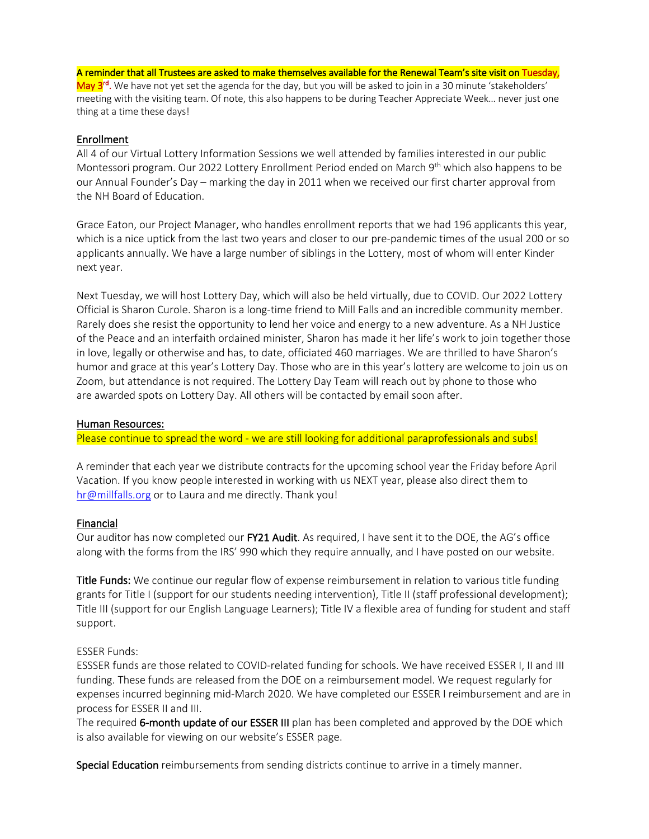#### A reminder that all Trustees are asked to make themselves available for the Renewal Team's site visit on Tuesday,

May 3<sup>rd</sup>. We have not yet set the agenda for the day, but you will be asked to join in a 30 minute 'stakeholders' meeting with the visiting team. Of note, this also happens to be during Teacher Appreciate Week… never just one thing at a time these days!

#### Enrollment

All 4 of our Virtual Lottery Information Sessions we well attended by families interested in our public Montessori program. Our 2022 Lottery Enrollment Period ended on March 9<sup>th</sup> which also happens to be our Annual Founder's Day – marking the day in 2011 when we received our first charter approval from the NH Board of Education.

Grace Eaton, our Project Manager, who handles enrollment reports that we had 196 applicants this year, which is a nice uptick from the last two years and closer to our pre-pandemic times of the usual 200 or so applicants annually. We have a large number of siblings in the Lottery, most of whom will enter Kinder next year.

Next Tuesday, we will host Lottery Day, which will also be held virtually, due to COVID. Our 2022 Lottery Official is Sharon Curole. Sharon is a long-time friend to Mill Falls and an incredible community member. Rarely does she resist the opportunity to lend her voice and energy to a new adventure. As a NH Justice of the Peace and an interfaith ordained minister, Sharon has made it her life's work to join together those in love, legally or otherwise and has, to date, officiated 460 marriages. We are thrilled to have Sharon's humor and grace at this year's Lottery Day. Those who are in this year's lottery are welcome to join us on Zoom, but attendance is not required. The Lottery Day Team will reach out by phone to those who are awarded spots on Lottery Day. All others will be contacted by email soon after.

#### Human Resources:

Please continue to spread the word - we are still looking for additional paraprofessionals and subs!

A reminder that each year we distribute contracts for the upcoming school year the Friday before April Vacation. If you know people interested in working with us NEXT year, please also direct them to hr@millfalls.org or to Laura and me directly. Thank you!

#### Financial

Our auditor has now completed our FY21 Audit. As required, I have sent it to the DOE, the AG's office along with the forms from the IRS' 990 which they require annually, and I have posted on our website.

Title Funds: We continue our regular flow of expense reimbursement in relation to various title funding grants for Title I (support for our students needing intervention), Title II (staff professional development); Title III (support for our English Language Learners); Title IV a flexible area of funding for student and staff support.

#### ESSER Funds:

ESSSER funds are those related to COVID-related funding for schools. We have received ESSER I, II and III funding. These funds are released from the DOE on a reimbursement model. We request regularly for expenses incurred beginning mid-March 2020. We have completed our ESSER I reimbursement and are in process for ESSER II and III.

The required 6-month update of our ESSER III plan has been completed and approved by the DOE which is also available for viewing on our website's ESSER page.

Special Education reimbursements from sending districts continue to arrive in a timely manner.